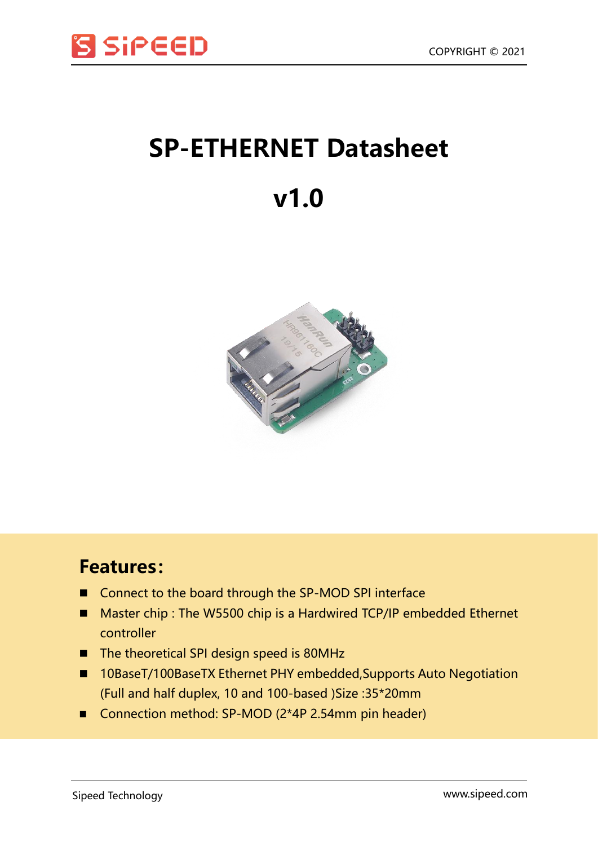

## **SP-ETHERNET Datasheet**

## **v1.0**



## **Features:**

- Connect to the board through the SP-MOD SPI interface
- Master chip : The W5500 chip is a Hardwired TCP/IP embedded Ethernet controller
- The theoretical SPI design speed is 80MHz
- 10BaseT/100BaseTX Ethernet PHY embedded, Supports Auto Negotiation (Full and half duplex, 10 and 100-based )Size :35\*20mm
- Connection method: SP-MOD (2\*4P 2.54mm pin header)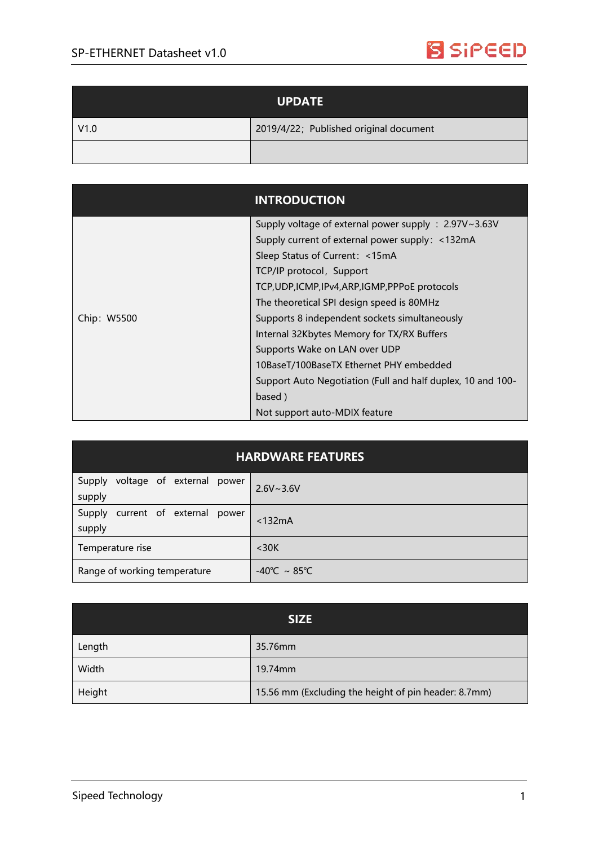

| <b>UPDATE</b> |                                        |
|---------------|----------------------------------------|
| V1.0          | 2019/4/22; Published original document |
|               |                                        |

|             | <b>INTRODUCTION</b>                                         |
|-------------|-------------------------------------------------------------|
|             | Supply voltage of external power supply : 2.97V~3.63V       |
|             | Supply current of external power supply: <132mA             |
|             | Sleep Status of Current: <15mA                              |
|             | TCP/IP protocol, Support                                    |
|             | TCP, UDP, ICMP, IPv4, ARP, IGMP, PPP OE protocols           |
| Chip: W5500 | The theoretical SPI design speed is 80MHz                   |
|             | Supports 8 independent sockets simultaneously               |
|             | Internal 32Kbytes Memory for TX/RX Buffers                  |
|             | Supports Wake on LAN over UDP                               |
|             | 10BaseT/100BaseTX Ethernet PHY embedded                     |
|             | Support Auto Negotiation (Full and half duplex, 10 and 100- |
|             | based)                                                      |
|             | Not support auto-MDIX feature                               |

| <b>HARDWARE FEATURES</b>                      |                                   |  |  |
|-----------------------------------------------|-----------------------------------|--|--|
| voltage of external power<br>Supply<br>supply | $2.6V \sim 3.6V$                  |  |  |
| current of external power<br>Supply<br>supply | $<$ 132 $mA$                      |  |  |
| Temperature rise                              | $30K$                             |  |  |
| Range of working temperature                  | $-40^{\circ}$ C ~ 85 $^{\circ}$ C |  |  |

| <b>SIZE</b> |                                                      |  |
|-------------|------------------------------------------------------|--|
| Length      | 35.76mm                                              |  |
| Width       | 19.74mm                                              |  |
| Height      | 15.56 mm (Excluding the height of pin header: 8.7mm) |  |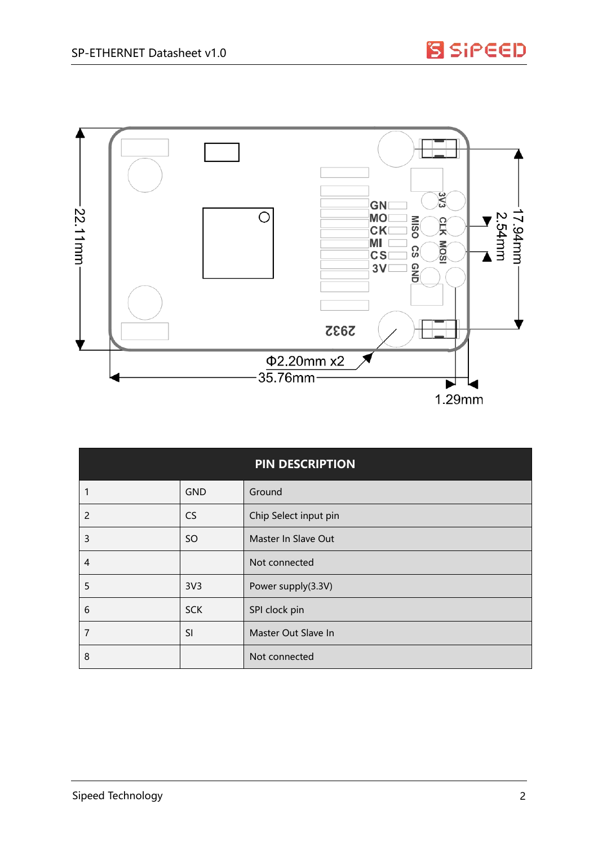

| <b>PIN DESCRIPTION</b> |                 |                       |
|------------------------|-----------------|-----------------------|
|                        | <b>GND</b>      | Ground                |
| $\overline{2}$         | <b>CS</b>       | Chip Select input pin |
| 3                      | <b>SO</b>       | Master In Slave Out   |
| $\overline{4}$         |                 | Not connected         |
| 5                      | 3V <sub>3</sub> | Power supply(3.3V)    |
| 6                      | <b>SCK</b>      | SPI clock pin         |
| 7                      | SI              | Master Out Slave In   |
| 8                      |                 | Not connected         |

**S** SiPEED